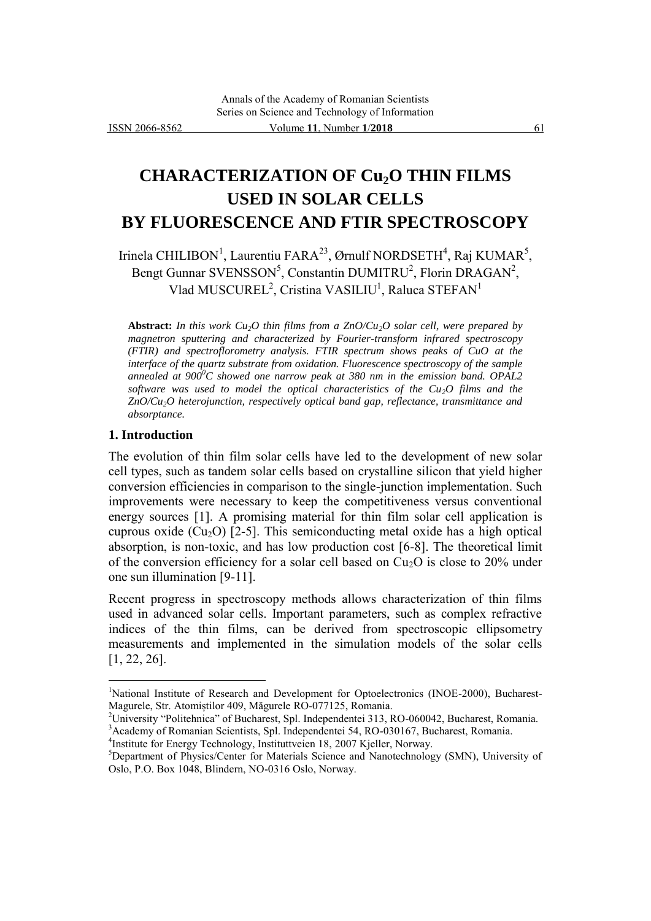# **CHARACTERIZATION OF Cu2O THIN FILMS USED IN SOLAR CELLS BY FLUORESCENCE AND FTIR SPECTROSCOPY**

Irinela CHILIBON<sup>1</sup>, Laurentiu FARA<sup>23</sup>, Ørnulf NORDSETH<sup>4</sup>, Raj KUMAR<sup>5</sup>, Bengt Gunnar SVENSSON<sup>5</sup>, Constantin DUMITRU<sup>2</sup>, Florin DRAGAN<sup>2</sup>, Vlad MUSCUREL<sup>2</sup>, Cristina VASILIU<sup>1</sup>, Raluca STEFAN<sup>1</sup>

**Abstract:** *In this work Cu2O thin films from a ZnO/Cu2O solar cell, were prepared by magnetron sputtering and characterized by Fourier-transform infrared spectroscopy (FTIR) and spectroflorometry analysis. FTIR spectrum shows peaks of CuO at the interface of the quartz substrate from oxidation. Fluorescence spectroscopy of the sample annealed at 900<sup>0</sup>C showed one narrow peak at 380 nm in the emission band. OPAL2 software was used to model the optical characteristics of the Cu2O films and the ZnO/Cu2O heterojunction, respectively optical band gap, reflectance, transmittance and absorptance.*

## **1. Introduction**

l

The evolution of thin film solar cells have led to the development of new solar cell types, such as tandem solar cells based on crystalline silicon that yield higher conversion efficiencies in comparison to the single-junction implementation. Such improvements were necessary to keep the competitiveness versus conventional energy sources [1]. A promising material for thin film solar cell application is cuprous oxide  $(Cu_2O)$  [2-5]. This semiconducting metal oxide has a high optical absorption, is non-toxic, and has low production cost [6-8]. The theoretical limit of the conversion efficiency for a solar cell based on  $Cu<sub>2</sub>O$  is close to 20% under one sun illumination [9-11].

Recent progress in spectroscopy methods allows characterization of thin films used in advanced solar cells. Important parameters, such as complex refractive indices of the thin films, can be derived from spectroscopic ellipsometry measurements and implemented in the simulation models of the solar cells [1, 22, 26].

<sup>2</sup>University "Politehnica" of Bucharest, Spl. Independentei 313, RO-060042, Bucharest, Romania. <sup>3</sup>Academy of Romanian Scientists, Spl. Independentei 54, RO-030167, Bucharest, Romania.

4 Institute for Energy Technology, Instituttveien 18, 2007 Kjeller, Norway.

<sup>&</sup>lt;sup>1</sup>National Institute of Research and Development for Optoelectronics (INOE-2000), Bucharest-Magurele, Str. Atomiștilor 409, Măgurele RO-077125, Romania.

<sup>5</sup>Department of Physics/Center for Materials Science and Nanotechnology (SMN), University of Oslo, P.O. Box 1048, Blindern, NO-0316 Oslo, Norway.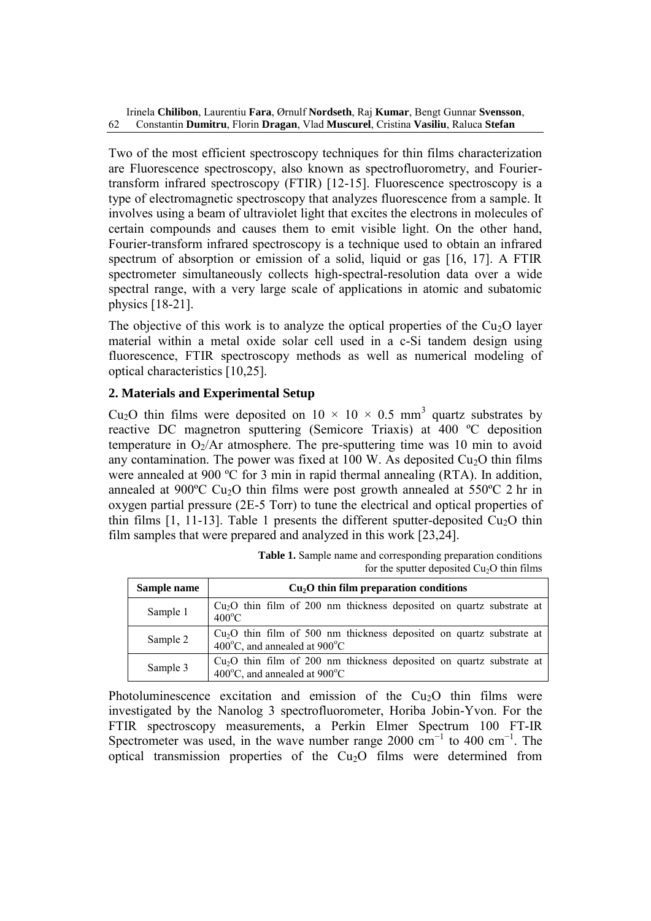Two of the most efficient spectroscopy techniques for thin films characterization are Fluorescence spectroscopy, also known as spectrofluorometry, and Fouriertransform infrared spectroscopy (FTIR) [12-15]. Fluorescence spectroscopy is a type of electromagnetic spectroscopy that analyzes fluorescence from a sample. It involves using a beam of ultraviolet light that excites the electrons in molecules of certain compounds and causes them to emit visible light. On the other hand, Fourier-transform infrared spectroscopy is a technique used to obtain an infrared spectrum of absorption or emission of a solid, liquid or gas [16, 17]. A FTIR spectrometer simultaneously collects high-spectral-resolution data over a wide spectral range, with a very large scale of applications in atomic and subatomic physics [18-21].

The objective of this work is to analyze the optical properties of the  $Cu<sub>2</sub>O$  layer material within a metal oxide solar cell used in a c-Si tandem design using fluorescence, FTIR spectroscopy methods as well as numerical modeling of optical characteristics [10,25].

# **2. Materials and Experimental Setup**

Cu<sub>2</sub>O thin films were deposited on  $10 \times 10 \times 0.5$  mm<sup>3</sup> quartz substrates by reactive DC magnetron sputtering (Semicore Triaxis) at 400 ºC deposition temperature in  $O_2/Ar$  atmosphere. The pre-sputtering time was 10 min to avoid any contamination. The power was fixed at 100 W. As deposited  $Cu<sub>2</sub>O$  thin films were annealed at 900 °C for 3 min in rapid thermal annealing (RTA). In addition, annealed at 900 $\degree$ C Cu<sub>2</sub>O thin films were post growth annealed at 550 $\degree$ C 2 hr in oxygen partial pressure (2E-5 Torr) to tune the electrical and optical properties of thin films  $[1, 11-13]$ . Table 1 presents the different sputter-deposited Cu<sub>2</sub>O thin film samples that were prepared and analyzed in this work [23,24].

| Sample name | $Cu2O$ thin film preparation conditions                                                                                     |
|-------------|-----------------------------------------------------------------------------------------------------------------------------|
| Sample 1    | $Cu2O$ thin film of 200 nm thickness deposited on quartz substrate at<br>$400^{\circ}$ C                                    |
| Sample 2    | $Cu2O$ thin film of 500 nm thickness deposited on quartz substrate at<br>400 $^{\circ}$ C, and annealed at 900 $^{\circ}$ C |
| Sample 3    | $Cu2O$ thin film of 200 nm thickness deposited on quartz substrate at<br>400 $^{\circ}$ C, and annealed at 900 $^{\circ}$ C |

| <b>Table 1.</b> Sample name and corresponding preparation conditions |
|----------------------------------------------------------------------|
| for the sputter deposited $Cu2O$ thin films                          |

Photoluminescence excitation and emission of the  $Cu<sub>2</sub>O$  thin films were investigated by the Nanolog 3 spectrofluorometer, Horiba Jobin-Yvon. For the FTIR spectroscopy measurements, a Perkin Elmer Spectrum 100 FT-IR Spectrometer was used, in the wave number range 2000 cm<sup>-1</sup> to 400 cm<sup>-1</sup>. The optical transmission properties of the  $Cu<sub>2</sub>O$  films were determined from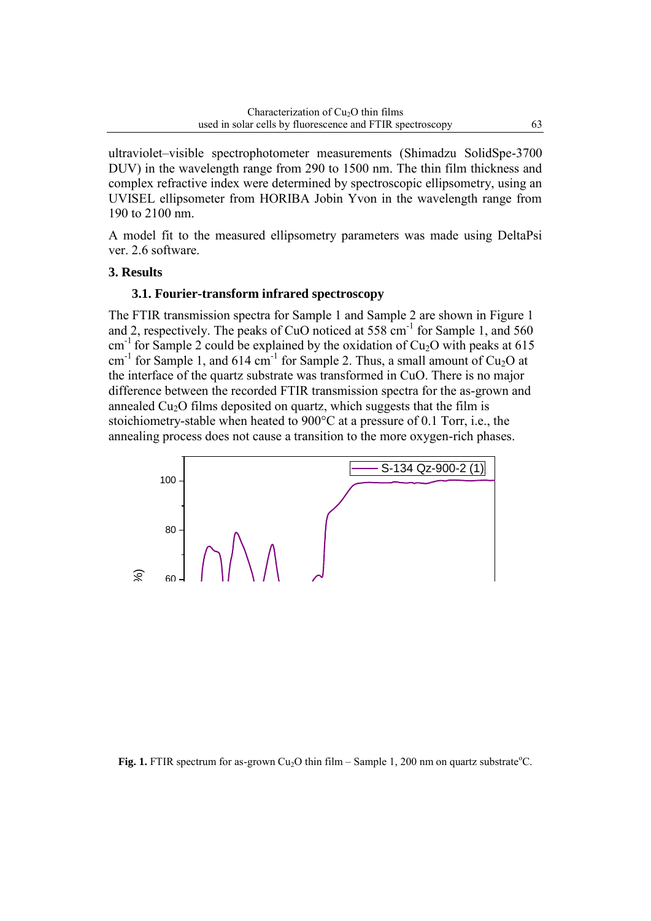ultraviolet–visible spectrophotometer measurements (Shimadzu SolidSpe-3700 DUV) in the wavelength range from 290 to 1500 nm. The thin film thickness and complex refractive index were determined by spectroscopic ellipsometry, using an UVISEL ellipsometer from HORIBA Jobin Yvon in the wavelength range from 190 to 2100 nm.

A model fit to the measured ellipsometry parameters was made using DeltaPsi ver. 2.6 software.

## **3. Results**

# **3.1. Fourier-transform infrared spectroscopy**

The FTIR transmission spectra for Sample 1 and Sample 2 are shown in Figure 1 and 2, respectively. The peaks of CuO noticed at  $558 \text{ cm}^{-1}$  for Sample 1, and  $560$ cm<sup>-1</sup> for Sample 2 could be explained by the oxidation of Cu<sub>2</sub>O with peaks at 615  $cm<sup>-1</sup>$  for Sample 1, and 614  $cm<sup>-1</sup>$  for Sample 2. Thus, a small amount of Cu<sub>2</sub>O at the interface of the quartz substrate was transformed in CuO. There is no major difference between the recorded FTIR transmission spectra for the as-grown and annealed  $Cu<sub>2</sub>O$  films deposited on quartz, which suggests that the film is stoichiometry-stable when heated to 900°C at a pressure of 0.1 Torr, i.e., the annealing process does not cause a transition to the more oxygen-rich phases.



#### **Fig. 1.** FTIR spectrum for as-grown Cu<sub>2</sub>O thin film – Sample 1, 200 nm on quartz substrate °C.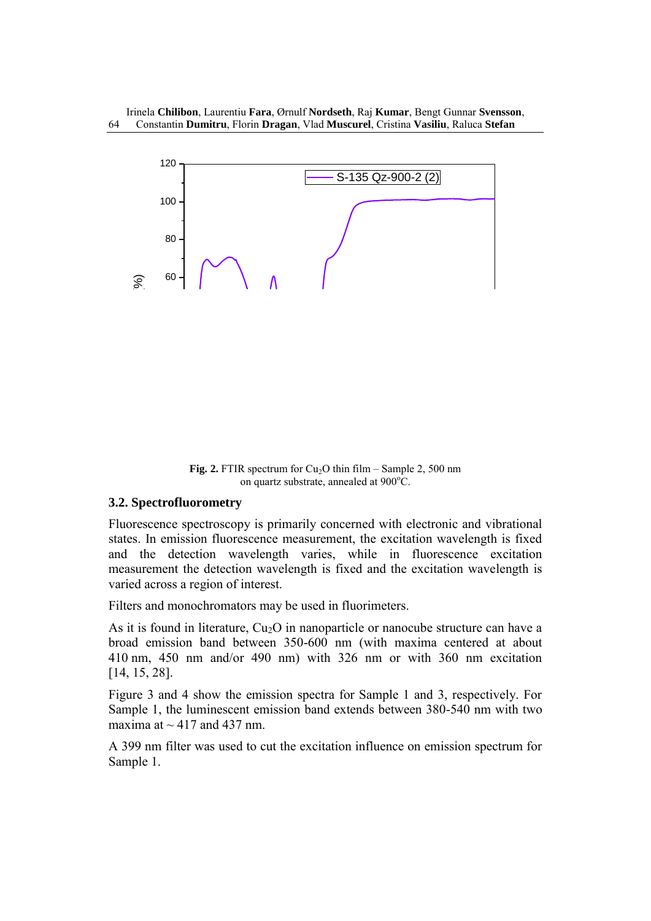

**Fig. 2.** FTIR spectrum for  $Cu<sub>2</sub>O$  thin film – Sample 2, 500 nm on quartz substrate, annealed at  $900^{\circ}$ C.

## **3.2. Spectrofluorometry**

Fluorescence spectroscopy is primarily concerned with electronic and vibrational states. In emission fluorescence measurement, the excitation wavelength is fixed and the detection wavelength varies, while in fluorescence excitation measurement the detection wavelength is fixed and the excitation wavelength is varied across a region of interest.

Filters and monochromators may be used in fluorimeters.

As it is found in literature,  $Cu<sub>2</sub>O$  in nanoparticle or nanocube structure can have a broad emission band between 350-600 nm (with maxima centered at about 410 nm, 450 nm and/or 490 nm) with 326 nm or with 360 nm excitation [14, 15, 28].

Figure 3 and 4 show the emission spectra for Sample 1 and 3, respectively. For Sample 1, the luminescent emission band extends between 380-540 nm with two maxima at  $\sim$  417 and 437 nm.

A 399 nm filter was used to cut the excitation influence on emission spectrum for Sample 1.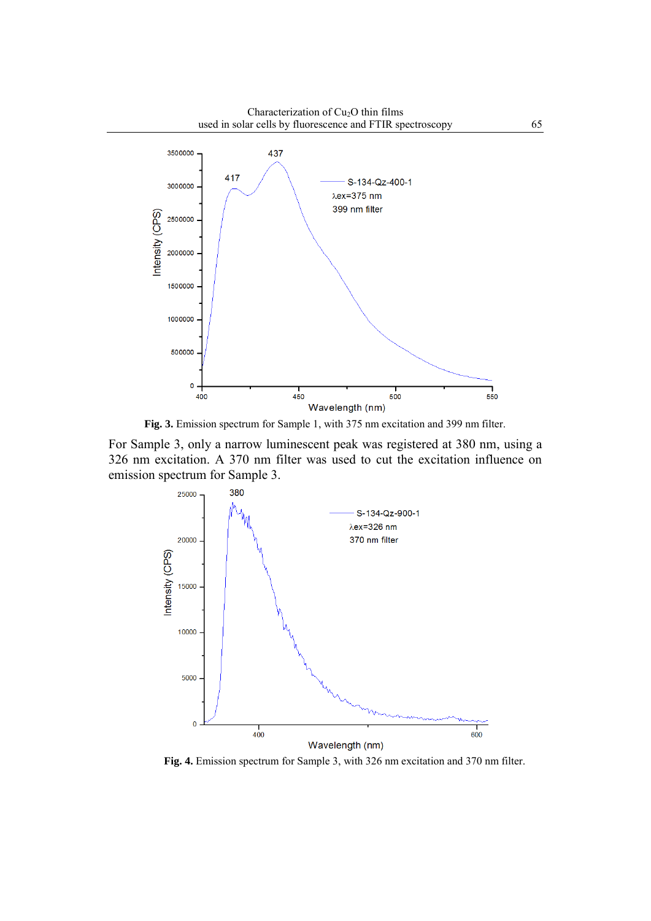Characterization of Cu<sub>2</sub>O thin films used in solar cells by fluorescence and FTIR spectroscopy 65



**Fig. 3.** Emission spectrum for Sample 1, with 375 nm excitation and 399 nm filter.

For Sample 3, only a narrow luminescent peak was registered at 380 nm, using a 326 nm excitation. A 370 nm filter was used to cut the excitation influence on emission spectrum for Sample 3.



**Fig. 4.** Emission spectrum for Sample 3, with 326 nm excitation and 370 nm filter.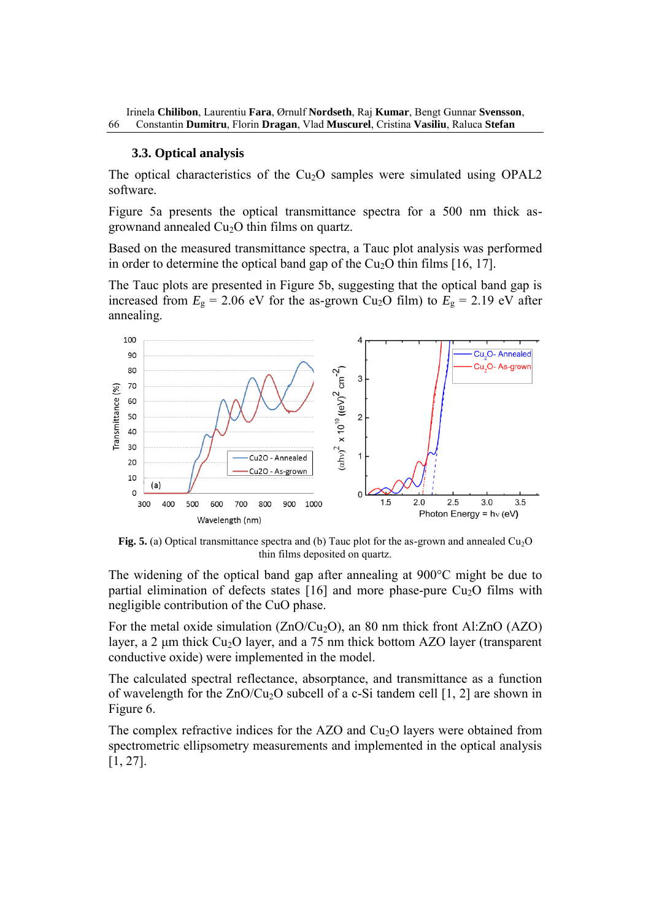#### **3.3. Optical analysis**

The optical characteristics of the  $Cu<sub>2</sub>O$  samples were simulated using OPAL2 software.

Figure 5a presents the optical transmittance spectra for a 500 nm thick asgrownand annealed  $Cu<sub>2</sub>O$  thin films on quartz.

Based on the measured transmittance spectra, a Tauc plot analysis was performed in order to determine the optical band gap of the  $Cu<sub>2</sub>O$  thin films [16, 17].

The Tauc plots are presented in Figure 5b, suggesting that the optical band gap is increased from  $E<sub>g</sub> = 2.06$  eV for the as-grown Cu<sub>2</sub>O film) to  $E<sub>g</sub> = 2.19$  eV after annealing.



**Fig. 5.** (a) Optical transmittance spectra and (b) Tauc plot for the as-grown and annealed Cu<sub>2</sub>O thin films deposited on quartz.

The widening of the optical band gap after annealing at 900°C might be due to partial elimination of defects states  $[16]$  and more phase-pure Cu<sub>2</sub>O films with negligible contribution of the CuO phase.

For the metal oxide simulation  $(ZnO/Cu_2O)$ , an 80 nm thick front Al:ZnO (AZO) layer, a 2  $\mu$ m thick Cu<sub>2</sub>O layer, and a 75 nm thick bottom AZO layer (transparent conductive oxide) were implemented in the model.

The calculated spectral reflectance, absorptance, and transmittance as a function of wavelength for the  $ZnO/Cu<sub>2</sub>O$  subcell of a c-Si tandem cell [1, 2] are shown in Figure 6.

The complex refractive indices for the  $AZO$  and  $Cu<sub>2</sub>O$  layers were obtained from spectrometric ellipsometry measurements and implemented in the optical analysis [1, 27].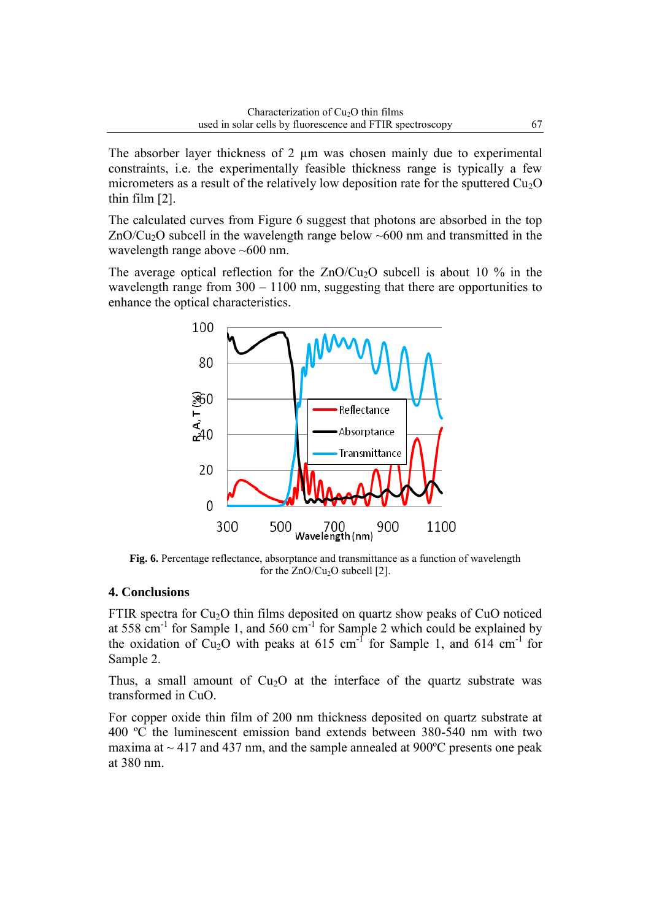The absorber layer thickness of 2  $\mu$ m was chosen mainly due to experimental constraints, i.e. the experimentally feasible thickness range is typically a few micrometers as a result of the relatively low deposition rate for the sputtered  $Cu<sub>2</sub>O$ thin film [2].

The calculated curves from Figure 6 suggest that photons are absorbed in the top  $ZnO/Cu<sub>2</sub>O$  subcell in the wavelength range below  $~600$  nm and transmitted in the wavelength range above ~600 nm.

The average optical reflection for the  $ZnO/Cu<sub>2</sub>O$  subcell is about 10 % in the wavelength range from  $300 - 1100$  nm, suggesting that there are opportunities to enhance the optical characteristics.



**Fig. 6.** Percentage reflectance, absorptance and transmittance as a function of wavelength for the  $ZnO/Cu<sub>2</sub>O$  subcell [2].

## **4. Conclusions**

FTIR spectra for  $Cu<sub>2</sub>O$  thin films deposited on quartz show peaks of CuO noticed at 558  $cm^{-1}$  for Sample 1, and 560  $cm^{-1}$  for Sample 2 which could be explained by the oxidation of Cu<sub>2</sub>O with peaks at 615 cm<sup>-1</sup> for Sample 1, and 614 cm<sup>-1</sup> for Sample 2.

Thus, a small amount of  $Cu<sub>2</sub>O$  at the interface of the quartz substrate was transformed in CuO.

For copper oxide thin film of 200 nm thickness deposited on quartz substrate at 400 ºC the luminescent emission band extends between 380-540 nm with two maxima at  $\sim$  417 and 437 nm, and the sample annealed at 900 $^{\circ}$ C presents one peak at 380 nm.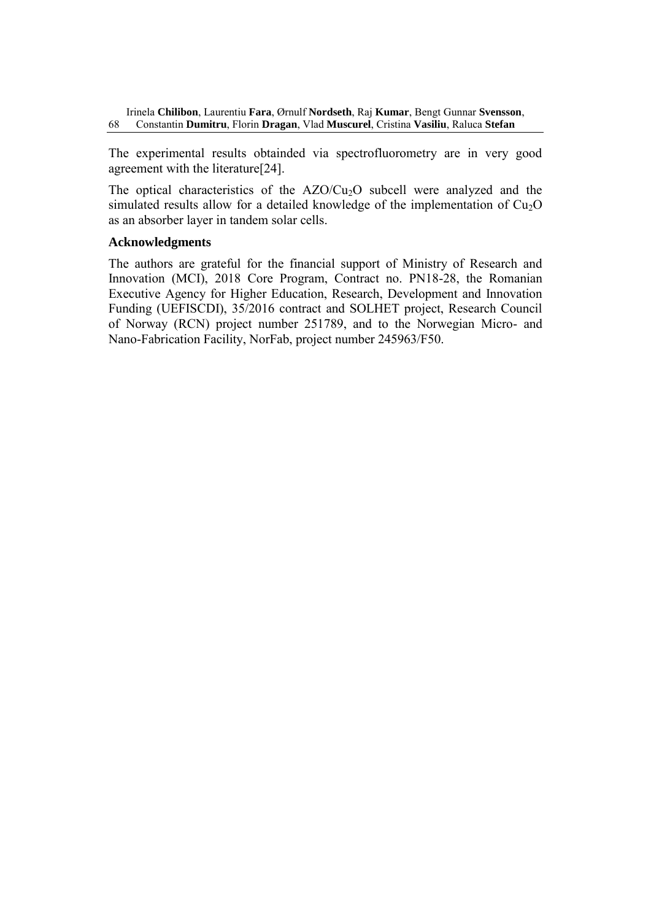The experimental results obtainded via spectrofluorometry are in very good agreement with the literature[24].

The optical characteristics of the  $AZO/Cu<sub>2</sub>O$  subcell were analyzed and the simulated results allow for a detailed knowledge of the implementation of  $Cu<sub>2</sub>O$ as an absorber layer in tandem solar cells.

## **Acknowledgments**

The authors are grateful for the financial support of Ministry of Research and Innovation (MCI), 2018 Core Program, Contract no. PN18-28, the Romanian Executive Agency for Higher Education, Research, Development and Innovation Funding (UEFISCDI), 35/2016 contract and SOLHET project, Research Council of Norway (RCN) project number 251789, and to the Norwegian Micro- and Nano-Fabrication Facility, NorFab, project number 245963/F50.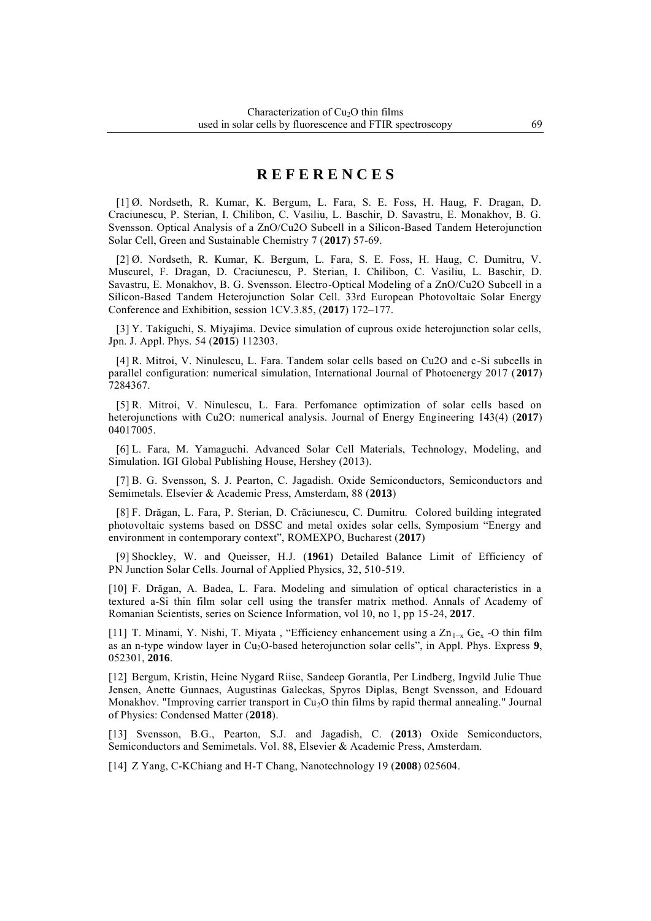# **R E F E R E N C E S**

[1] Ø. Nordseth, R. Kumar, K. Bergum, L. Fara, S. E. Foss, H. Haug, F. Dragan, D. Craciunescu, P. Sterian, I. Chilibon, C. Vasiliu, L. Baschir, D. Savastru, E. Monakhov, B. G. Svensson. Optical Analysis of a ZnO/Cu2O Subcell in a Silicon-Based Tandem Heterojunction Solar Cell, Green and Sustainable Chemistry 7 (**2017**) 57-69.

[2] Ø. Nordseth, R. Kumar, K. Bergum, L. Fara, S. E. Foss, H. Haug, C. Dumitru, V. Muscurel, F. Dragan, D. Craciunescu, P. Sterian, I. Chilibon, C. Vasiliu, L. Baschir, D. Savastru, E. Monakhov, B. G. Svensson. Electro-Optical Modeling of a ZnO/Cu2O Subcell in a Silicon-Based Tandem Heterojunction Solar Cell. 33rd European Photovoltaic Solar Energy Conference and Exhibition, session 1CV.3.85, (**2017**) 172–177.

[3] Y. Takiguchi, S. Miyajima. Device simulation of cuprous oxide heterojunction solar cells, Jpn. J. Appl. Phys. 54 (**2015**) 112303.

[4] R. Mitroi, V. Ninulescu, L. Fara. Tandem solar cells based on Cu2O and c-Si subcells in parallel configuration: numerical simulation, International Journal of Photoenergy 2017 (**2017**) 7284367.

[5] R. Mitroi, V. Ninulescu, L. Fara. Perfomance optimization of solar cells based on heterojunctions with Cu2O: numerical analysis. Journal of Energy Engineering 143(4) (**2017**) 04017005.

[6] L. Fara, M. Yamaguchi. Advanced Solar Cell Materials, Technology, Modeling, and Simulation. IGI Global Publishing House, Hershey (2013).

[7] B. G. Svensson, S. J. Pearton, C. Jagadish. Oxide Semiconductors, Semiconductors and Semimetals. Elsevier & Academic Press, Amsterdam, 88 (**2013**)

[8] F. Drăgan, L. Fara, P. Sterian, D. Crăciunescu, C. Dumitru. Colored building integrated photovoltaic systems based on DSSC and metal oxides solar cells, Symposium "Energy and environment in contemporary context", ROMEXPO, Bucharest (**2017**)

[9] Shockley, W. and Queisser, H.J. (**1961**) Detailed Balance Limit of Efficiency of PN Junction Solar Cells. Journal of Applied Physics, 32, 510-519.

[10] F. Drăgan, A. Badea, L. Fara. Modeling and simulation of optical characteristics in a textured a-Si thin film solar cell using the transfer matrix method. Annals of Academy of Romanian Scientists, series on Science Information, vol 10, no 1, pp 15-24, **2017**.

[11] T. Minami, Y. Nishi, T. Miyata, "Efficiency enhancement using a Zn<sub>1-x</sub> Ge<sub>x</sub> -O thin film as an n-type window layer in Cu2O-based heterojunction solar cells", in Appl. Phys. Express **9**, 052301, **2016**.

[12] Bergum, Kristin, Heine Nygard Riise, Sandeep Gorantla, Per Lindberg, Ingvild Julie Thue Jensen, Anette Gunnaes, Augustinas Galeckas, Spyros Diplas, Bengt Svensson, and Edouard Monakhov. "Improving carrier transport in  $Cu<sub>2</sub>O$  thin films by rapid thermal annealing." Journal of Physics: Condensed Matter (**2018**).

[13] Svensson, B.G., Pearton, S.J. and Jagadish, C. (**2013**) Oxide Semiconductors, Semiconductors and Semimetals. Vol. 88, Elsevier & Academic Press, Amsterdam.

[14] Z Yang, C-KChiang and H-T Chang, Nanotechnology 19 (**2008**) 025604.